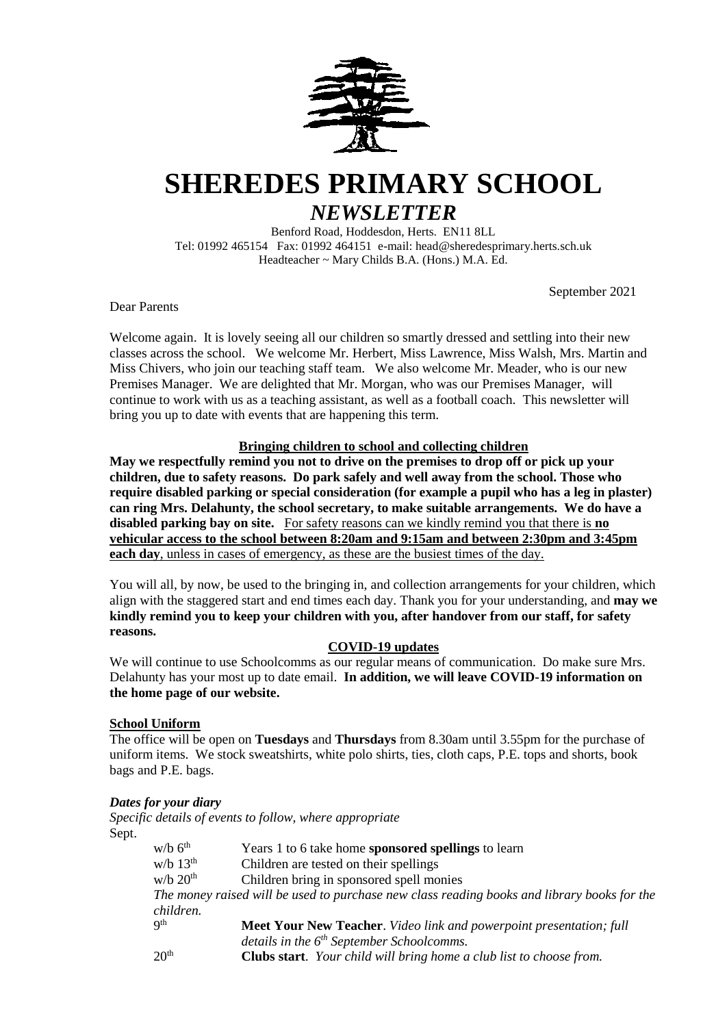

# **SHEREDES PRIMARY SCHOOL**

# *NEWSLETTER*

Benford Road, Hoddesdon, Herts. EN11 8LL Tel: 01992 465154 Fax: 01992 464151 e-mail: head@sheredesprimary.herts.sch.uk Headteacher ~ Mary Childs B.A. (Hons.) M.A. Ed.

September 2021

Dear Parents

Welcome again. It is lovely seeing all our children so smartly dressed and settling into their new classes across the school. We welcome Mr. Herbert, Miss Lawrence, Miss Walsh, Mrs. Martin and Miss Chivers, who join our teaching staff team. We also welcome Mr. Meader, who is our new Premises Manager. We are delighted that Mr. Morgan, who was our Premises Manager, will continue to work with us as a teaching assistant, as well as a football coach. This newsletter will bring you up to date with events that are happening this term.

# **Bringing children to school and collecting children**

**May we respectfully remind you not to drive on the premises to drop off or pick up your children, due to safety reasons. Do park safely and well away from the school. Those who require disabled parking or special consideration (for example a pupil who has a leg in plaster) can ring Mrs. Delahunty, the school secretary, to make suitable arrangements. We do have a disabled parking bay on site.** For safety reasons can we kindly remind you that there is **no vehicular access to the school between 8:20am and 9:15am and between 2:30pm and 3:45pm each day**, unless in cases of emergency, as these are the busiest times of the day.

You will all, by now, be used to the bringing in, and collection arrangements for your children, which align with the staggered start and end times each day. Thank you for your understanding, and **may we kindly remind you to keep your children with you, after handover from our staff, for safety reasons.**

# **COVID-19 updates**

We will continue to use Schoolcomms as our regular means of communication. Do make sure Mrs. Delahunty has your most up to date email. **In addition, we will leave COVID-19 information on the home page of our website.**

# **School Uniform**

The office will be open on **Tuesdays** and **Thursdays** from 8.30am until 3.55pm for the purchase of uniform items. We stock sweatshirts, white polo shirts, ties, cloth caps, P.E. tops and shorts, book bags and P.E. bags.

# *Dates for your diary*

*Specific details of events to follow, where appropriate* Sept.

| $w/b$ 6 <sup>th</sup>                                                                       | Years 1 to 6 take home sponsored spellings to learn                         |  |  |  |
|---------------------------------------------------------------------------------------------|-----------------------------------------------------------------------------|--|--|--|
| w/b $13th$                                                                                  | Children are tested on their spellings                                      |  |  |  |
| $W/b$ 20 <sup>th</sup>                                                                      | Children bring in sponsored spell monies                                    |  |  |  |
| The money raised will be used to purchase new class reading books and library books for the |                                                                             |  |  |  |
| children.                                                                                   |                                                                             |  |  |  |
| Q <sup>th</sup>                                                                             | <b>Meet Your New Teacher.</b> Video link and powerpoint presentation; full  |  |  |  |
|                                                                                             | details in the $6th$ September Schoolcomms.                                 |  |  |  |
| 20 <sup>th</sup>                                                                            | <b>Clubs start</b> . Your child will bring home a club list to choose from. |  |  |  |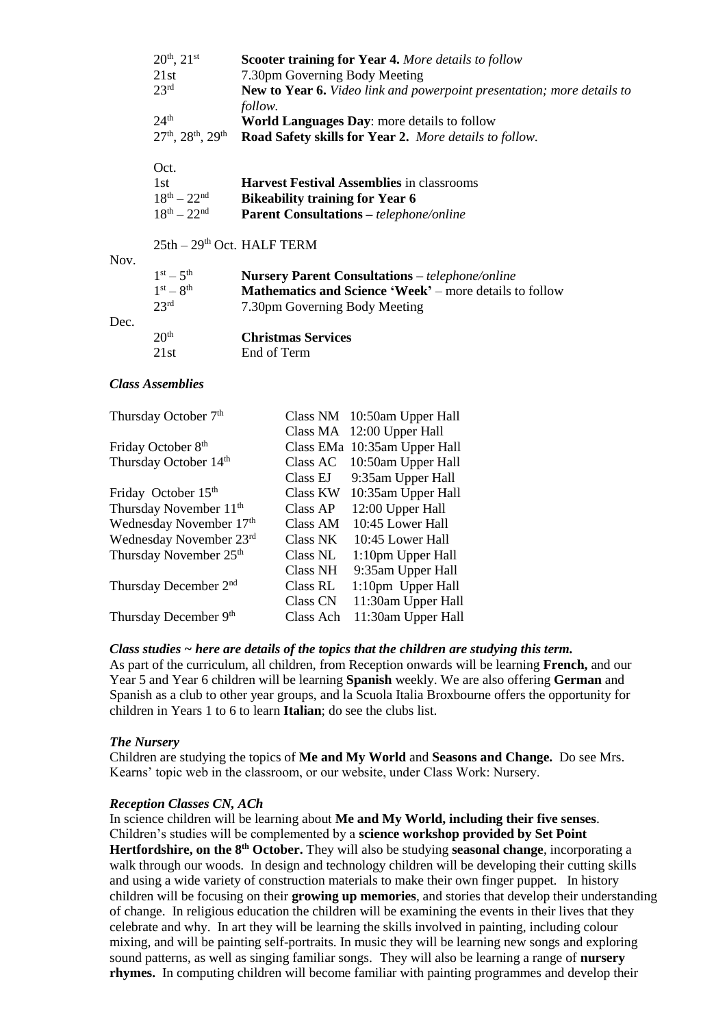|      | $20^{th}$ , $21^{st}$<br>21st<br>$23^{\rm rd}$            | Scooter training for Year 4. More details to follow<br>7.30pm Governing Body Meeting<br><b>New to Year 6.</b> Video link and powerpoint presentation; more details to |
|------|-----------------------------------------------------------|-----------------------------------------------------------------------------------------------------------------------------------------------------------------------|
|      | 24 <sup>th</sup><br>$27th$ , $28th$ , $29th$              | follow.<br>World Languages Day: more details to follow<br>Road Safety skills for Year 2. More details to follow.                                                      |
|      | Oct.<br>1st<br>$18^{th} - 22^{nd}$<br>$18^{th} - 22^{nd}$ | <b>Harvest Festival Assemblies</b> in classrooms<br><b>Bikeability training for Year 6</b><br><b>Parent Consultations - telephone/online</b>                          |
| Nov. | $25th - 29th$ Oct. HALF TERM                              |                                                                                                                                                                       |
|      | $1st - 5th$<br>$1st - 8th$<br>23 <sup>rd</sup>            | <b>Nursery Parent Consultations - telephone/online</b><br>Mathematics and Science 'Week' – more details to follow<br>7.30pm Governing Body Meeting                    |
| Dec. | 20 <sup>th</sup><br>21st                                  | <b>Christmas Services</b><br>End of Term                                                                                                                              |
|      | <b>Class Assemblies</b>                                   |                                                                                                                                                                       |
|      |                                                           |                                                                                                                                                                       |

|           | Class NM 10:50am Upper Hall  |
|-----------|------------------------------|
|           | Class MA 12:00 Upper Hall    |
|           | Class EMa 10:35am Upper Hall |
| Class AC  | 10:50am Upper Hall           |
| Class EJ  | 9:35am Upper Hall            |
| Class KW  | 10:35am Upper Hall           |
| Class AP  | 12:00 Upper Hall             |
| Class AM  | 10:45 Lower Hall             |
| Class NK  | 10:45 Lower Hall             |
| Class NL  | 1:10pm Upper Hall            |
| Class NH  | 9:35am Upper Hall            |
| Class RL  | 1:10pm Upper Hall            |
| Class CN  | 11:30am Upper Hall           |
| Class Ach | 11:30am Upper Hall           |
|           |                              |

# *Class studies ~ here are details of the topics that the children are studying this term.*

As part of the curriculum, all children, from Reception onwards will be learning **French,** and our Year 5 and Year 6 children will be learning **Spanish** weekly. We are also offering **German** and Spanish as a club to other year groups, and la Scuola Italia Broxbourne offers the opportunity for children in Years 1 to 6 to learn **Italian**; do see the clubs list.

# *The Nursery*

Children are studying the topics of **Me and My World** and **Seasons and Change.** Do see Mrs. Kearns' topic web in the classroom, or our website, under Class Work: Nursery.

#### *Reception Classes CN, ACh*

In science children will be learning about **Me and My World, including their five senses**. Children's studies will be complemented by a **science workshop provided by Set Point Hertfordshire, on the 8th October.** They will also be studying **seasonal change**, incorporating a walk through our woods. In design and technology children will be developing their cutting skills and using a wide variety of construction materials to make their own finger puppet. In history children will be focusing on their **growing up memories**, and stories that develop their understanding of change. In religious education the children will be examining the events in their lives that they celebrate and why. In art they will be learning the skills involved in painting, including colour mixing, and will be painting self-portraits. In music they will be learning new songs and exploring sound patterns, as well as singing familiar songs. They will also be learning a range of **nursery rhymes.** In computing children will become familiar with painting programmes and develop their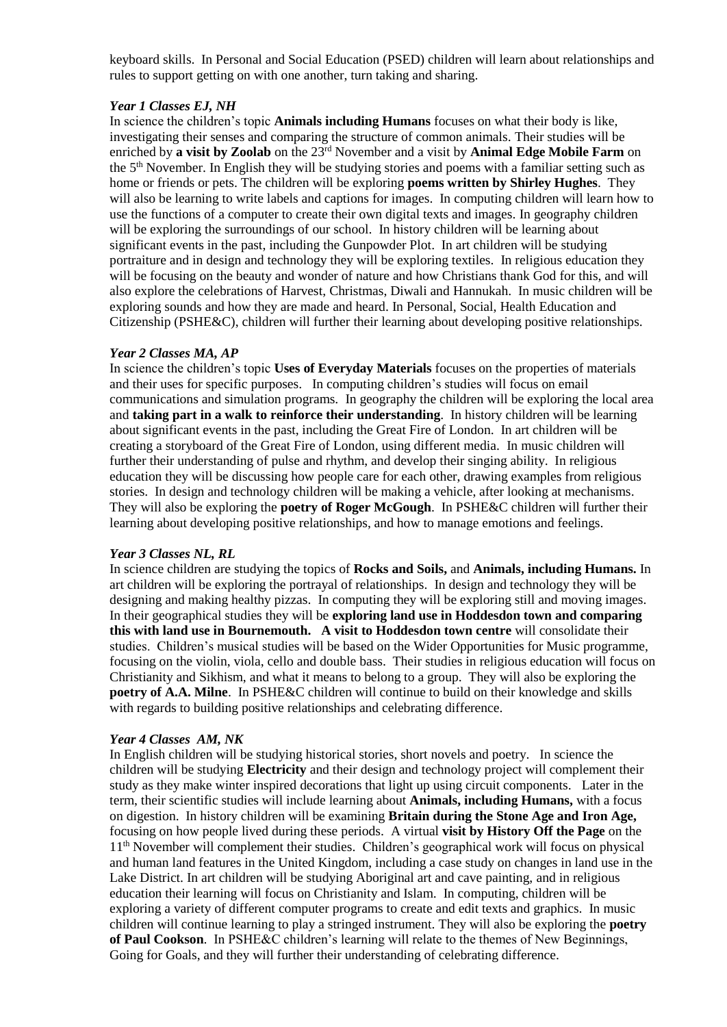keyboard skills. In Personal and Social Education (PSED) children will learn about relationships and rules to support getting on with one another, turn taking and sharing.

#### *Year 1 Classes EJ, NH*

In science the children's topic **Animals including Humans** focuses on what their body is like, investigating their senses and comparing the structure of common animals. Their studies will be enriched by **a visit by Zoolab** on the 23rd November and a visit by **Animal Edge Mobile Farm** on the 5th November. In English they will be studying stories and poems with a familiar setting such as home or friends or pets. The children will be exploring **poems written by Shirley Hughes**. They will also be learning to write labels and captions for images. In computing children will learn how to use the functions of a computer to create their own digital texts and images. In geography children will be exploring the surroundings of our school. In history children will be learning about significant events in the past, including the Gunpowder Plot. In art children will be studying portraiture and in design and technology they will be exploring textiles. In religious education they will be focusing on the beauty and wonder of nature and how Christians thank God for this, and will also explore the celebrations of Harvest, Christmas, Diwali and Hannukah. In music children will be exploring sounds and how they are made and heard. In Personal, Social, Health Education and Citizenship (PSHE&C), children will further their learning about developing positive relationships.

#### *Year 2 Classes MA, AP*

In science the children's topic **Uses of Everyday Materials** focuses on the properties of materials and their uses for specific purposes. In computing children's studies will focus on email communications and simulation programs. In geography the children will be exploring the local area and **taking part in a walk to reinforce their understanding**. In history children will be learning about significant events in the past, including the Great Fire of London. In art children will be creating a storyboard of the Great Fire of London, using different media. In music children will further their understanding of pulse and rhythm, and develop their singing ability. In religious education they will be discussing how people care for each other, drawing examples from religious stories. In design and technology children will be making a vehicle, after looking at mechanisms. They will also be exploring the **poetry of Roger McGough**. In PSHE&C children will further their learning about developing positive relationships, and how to manage emotions and feelings.

# *Year 3 Classes NL, RL*

In science children are studying the topics of **Rocks and Soils,** and **Animals, including Humans.** In art children will be exploring the portrayal of relationships. In design and technology they will be designing and making healthy pizzas. In computing they will be exploring still and moving images. In their geographical studies they will be **exploring land use in Hoddesdon town and comparing this with land use in Bournemouth. A visit to Hoddesdon town centre** will consolidate their studies. Children's musical studies will be based on the Wider Opportunities for Music programme, focusing on the violin, viola, cello and double bass. Their studies in religious education will focus on Christianity and Sikhism, and what it means to belong to a group. They will also be exploring the **poetry of A.A. Milne**. In PSHE&C children will continue to build on their knowledge and skills with regards to building positive relationships and celebrating difference.

#### *Year 4 Classes AM, NK*

In English children will be studying historical stories, short novels and poetry. In science the children will be studying **Electricity** and their design and technology project will complement their study as they make winter inspired decorations that light up using circuit components. Later in the term, their scientific studies will include learning about **Animals, including Humans,** with a focus on digestion. In history children will be examining **Britain during the Stone Age and Iron Age,**  focusing on how people lived during these periods. A virtual **visit by History Off the Page** on the 11th November will complement their studies. Children's geographical work will focus on physical and human land features in the United Kingdom, including a case study on changes in land use in the Lake District. In art children will be studying Aboriginal art and cave painting, and in religious education their learning will focus on Christianity and Islam. In computing, children will be exploring a variety of different computer programs to create and edit texts and graphics. In music children will continue learning to play a stringed instrument. They will also be exploring the **poetry of Paul Cookson**. In PSHE&C children's learning will relate to the themes of New Beginnings, Going for Goals, and they will further their understanding of celebrating difference.